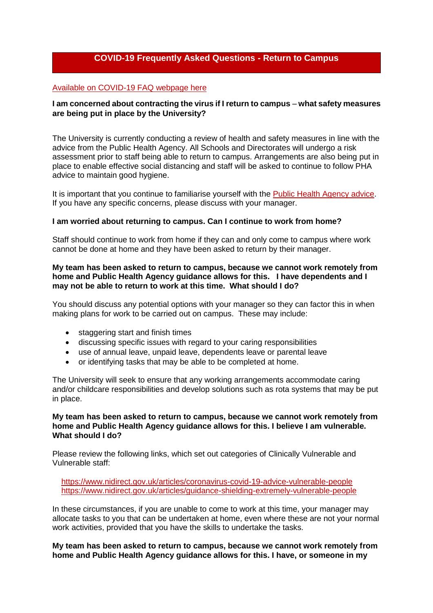# **COVID-19 Frequently Asked Questions - Return to Campus**

#### [Available on COVID-19 FAQ webpage here](https://www.qub.ac.uk/home/coronavirus-faqs/information-for-staff/)

## **I am concerned about contracting the virus if I return to campus – what safety measures are being put in place by the University?**

The University is currently conducting a review of health and safety measures in line with the advice from the Public Health Agency. All Schools and Directorates will undergo a risk assessment prior to staff being able to return to campus. Arrangements are also being put in place to enable effective social distancing and staff will be asked to continue to follow PHA advice to maintain good hygiene.

It is important that you continue to familiarise yourself with the [Public Health Agency advice.](https://www.publichealth.hscni.net/covid-19-coronavirus/covid-19-information-public) If you have any specific concerns, please discuss with your manager.

#### **I am worried about returning to campus. Can I continue to work from home?**

Staff should continue to work from home if they can and only come to campus where work cannot be done at home and they have been asked to return by their manager.

#### **My team has been asked to return to campus, because we cannot work remotely from home and Public Health Agency guidance allows for this. I have dependents and I may not be able to return to work at this time. What should I do?**

You should discuss any potential options with your manager so they can factor this in when making plans for work to be carried out on campus. These may include:

- staggering start and finish times
- discussing specific issues with regard to your caring responsibilities
- use of annual leave, unpaid leave, dependents leave or parental leave
- or identifying tasks that may be able to be completed at home.

The University will seek to ensure that any working arrangements accommodate caring and/or childcare responsibilities and develop solutions such as rota systems that may be put in place.

#### **My team has been asked to return to campus, because we cannot work remotely from home and Public Health Agency guidance allows for this. I believe I am vulnerable. What should I do?**

Please review the following links, which set out categories of Clinically Vulnerable and Vulnerable staff:

 <https://www.nidirect.gov.uk/articles/coronavirus-covid-19-advice-vulnerable-people> <https://www.nidirect.gov.uk/articles/guidance-shielding-extremely-vulnerable-people>

In these circumstances, if you are unable to come to work at this time, your manager may allocate tasks to you that can be undertaken at home, even where these are not your normal work activities, provided that you have the skills to undertake the tasks.

**My team has been asked to return to campus, because we cannot work remotely from home and Public Health Agency guidance allows for this. I have, or someone in my**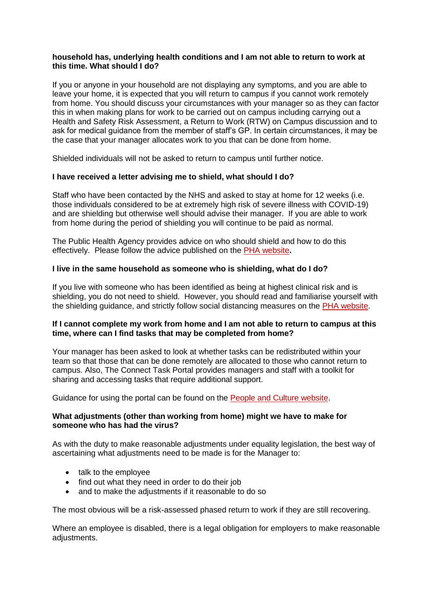## **household has, underlying health conditions and I am not able to return to work at this time. What should I do?**

If you or anyone in your household are not displaying any symptoms, and you are able to leave your home, it is expected that you will return to campus if you cannot work remotely from home. You should discuss your circumstances with your manager so as they can factor this in when making plans for work to be carried out on campus including carrying out a Health and Safety Risk Assessment, a Return to Work (RTW) on Campus discussion and to ask for medical guidance from the member of staff's GP. In certain circumstances, it may be the case that your manager allocates work to you that can be done from home.

Shielded individuals will not be asked to return to campus until further notice.

# **I have received a letter advising me to shield, what should I do?**

Staff who have been contacted by the NHS and asked to stay at home for 12 weeks (i.e. those individuals considered to be at extremely high risk of severe illness with COVID-19) and are shielding but otherwise well should advise their manager. If you are able to work from home during the period of shielding you will continue to be paid as normal.

The Public Health Agency provides advice on who should shield and how to do this effectively. Please follow the advice published on the [PHA website](https://www.publichealth.hscni.net/)**.**

# **I live in the same household as someone who is shielding, what do I do?**

If you live with someone who has been identified as being at highest clinical risk and is shielding, you do not need to shield. However, you should read and familiarise yourself with the shielding guidance, and strictly follow social distancing measures on the [PHA website.](https://www.publichealth.hscni.net/)

# **If I cannot complete my work from home and I am not able to return to campus at this time, where can I find tasks that may be completed from home?**

Your manager has been asked to look at whether tasks can be redistributed within your team so that those that can be done remotely are allocated to those who cannot return to campus. Also, The Connect Task Portal provides managers and staff with a toolkit for sharing and accessing tasks that require additional support.

Guidance for using the portal can be found on the [People and Culture website.](http://www.qub.ac.uk/directorates/HumanResources/connect-task-portal/)

### **What adjustments (other than working from home) might we have to make for someone who has had the virus?**

As with the duty to make reasonable adjustments under equality legislation, the best way of ascertaining what adjustments need to be made is for the Manager to:

- talk to the employee
- find out what they need in order to do their job
- and to make the adjustments if it reasonable to do so

The most obvious will be a risk-assessed phased return to work if they are still recovering.

Where an employee is disabled, there is a legal obligation for employers to make reasonable adjustments.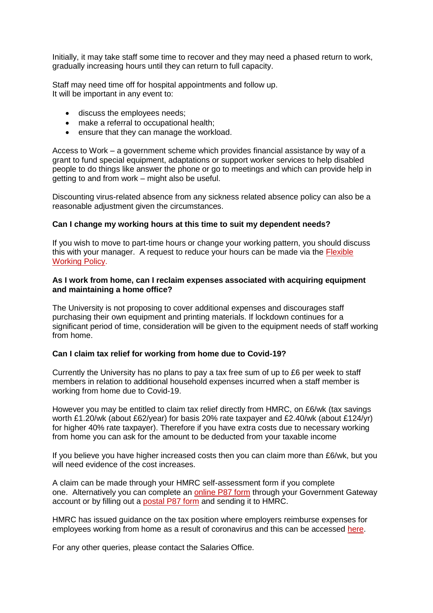Initially, it may take staff some time to recover and they may need a phased return to work, gradually increasing hours until they can return to full capacity.

Staff may need time off for hospital appointments and follow up. It will be important in any event to:

- discuss the employees needs;
- make a referral to occupational health;
- ensure that they can manage the workload.

Access to Work – a government scheme which provides financial assistance by way of a grant to fund special equipment, adaptations or support worker services to help disabled people to do things like answer the phone or go to meetings and which can provide help in getting to and from work – might also be useful.

Discounting virus-related absence from any sickness related absence policy can also be a reasonable adjustment given the circumstances.

### **Can I change my working hours at this time to suit my dependent needs?**

If you wish to move to part-time hours or change your working pattern, you should discuss this with your manager. A request to reduce your hours can be made via the [Flexible](https://www.qub.ac.uk/directorates/HumanResources/managers/leave-toolkit/family-leave/flexible-working/)  [Working Policy.](https://www.qub.ac.uk/directorates/HumanResources/managers/leave-toolkit/family-leave/flexible-working/)

#### **As I work from home, can I reclaim expenses associated with acquiring equipment and maintaining a home office?**

The University is not proposing to cover additional expenses and discourages staff purchasing their own equipment and printing materials. If lockdown continues for a significant period of time, consideration will be given to the equipment needs of staff working from home.

#### **Can I claim tax relief for working from home due to Covid-19?**

Currently the University has no plans to pay a tax free sum of up to £6 per week to staff members in relation to additional household expenses incurred when a staff member is working from home due to Covid-19.

However you may be entitled to claim tax relief directly from HMRC, on £6/wk (tax savings worth £1.20/wk (about £62/year) for basis 20% rate taxpayer and £2.40/wk (about £124/yr) for higher 40% rate taxpayer). Therefore if you have extra costs due to necessary working from home you can ask for the amount to be deducted from your taxable income

If you believe you have higher increased costs then you can claim more than £6/wk, but you will need evidence of the cost increases.

A claim can be made through your HMRC self-assessment form if you complete one. Alternatively you can complete an [online P87 form](https://www.gov.uk/guidance/claim-income-tax-relief-for-your-employment-expenses-p87) through your Government Gateway account or by filling out a [postal P87 form](https://www.gov.uk/guidance/claim-income-tax-relief-for-your-employment-expenses-p87) and sending it to HMRC.

HMRC has issued guidance on the tax position where employers reimburse expenses for employees working from home as a result of coronavirus and this can be accessed [here.](https://www.gov.uk/guidance/check-which-expenses-are-taxable-if-your-employee-works-from-home-due-to-coronavirus-covid-19)

For any other queries, please contact the Salaries Office.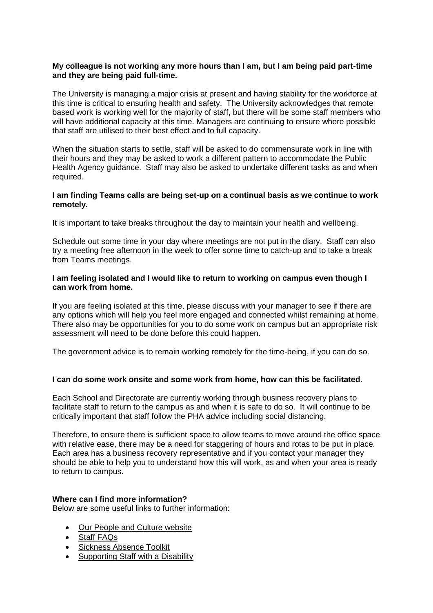## **My colleague is not working any more hours than I am, but I am being paid part-time and they are being paid full-time.**

The University is managing a major crisis at present and having stability for the workforce at this time is critical to ensuring health and safety. The University acknowledges that remote based work is working well for the majority of staff, but there will be some staff members who will have additional capacity at this time. Managers are continuing to ensure where possible that staff are utilised to their best effect and to full capacity.

When the situation starts to settle, staff will be asked to do commensurate work in line with their hours and they may be asked to work a different pattern to accommodate the Public Health Agency guidance. Staff may also be asked to undertake different tasks as and when required.

### **I am finding Teams calls are being set-up on a continual basis as we continue to work remotely.**

It is important to take breaks throughout the day to maintain your health and wellbeing.

Schedule out some time in your day where meetings are not put in the diary. Staff can also try a meeting free afternoon in the week to offer some time to catch-up and to take a break from Teams meetings.

### **I am feeling isolated and I would like to return to working on campus even though I can work from home.**

If you are feeling isolated at this time, please discuss with your manager to see if there are any options which will help you feel more engaged and connected whilst remaining at home. There also may be opportunities for you to do some work on campus but an appropriate risk assessment will need to be done before this could happen.

The government advice is to remain working remotely for the time-being, if you can do so.

# **I can do some work onsite and some work from home, how can this be facilitated.**

Each School and Directorate are currently working through business recovery plans to facilitate staff to return to the campus as and when it is safe to do so. It will continue to be critically important that staff follow the PHA advice including social distancing.

Therefore, to ensure there is sufficient space to allow teams to move around the office space with relative ease, there may be a need for staggering of hours and rotas to be put in place. Each area has a business recovery representative and if you contact your manager they should be able to help you to understand how this will work, as and when your area is ready to return to campus.

### **Where can I find more information?**

Below are some useful links to further information:

- Our [People and Culture website](https://www.qub.ac.uk/directorates/HumanResources/a-z/)
- Staff FAQs
- **•** [Sickness Absence Toolkit](http://www.qub.ac.uk/directorates/HumanResources/managers/sickness-absence-toolkit/supporting-staff-with-a-disability/)
- [Supporting Staff with a Disability](http://www.qub.ac.uk/directorates/HumanResources/managers/sickness-absence-toolkit/supporting-staff-with-a-disability/)